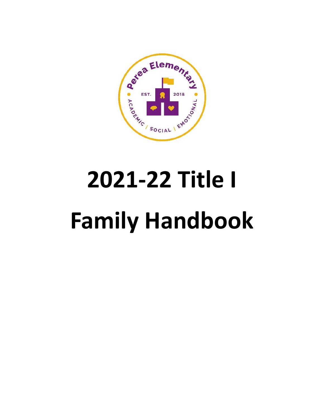

# **2021-22 Title I Family Handbook**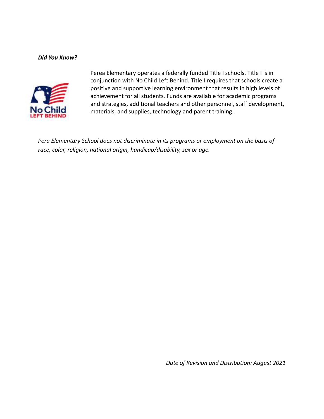#### *Did You Know?*



Perea Elementary operates a federally funded Title I schools. Title I is in conjunction with No Child Left Behind. Title I requires that schools create a positive and supportive learning environment that results in high levels of achievement for all students. Funds are available for academic programs and strategies, additional teachers and other personnel, staff development, materials, and supplies, technology and parent training.

*Pera Elementary School does not discriminate in its programs or employment on the basis of race, color, religion, national origin, handicap/disability, sex or age.*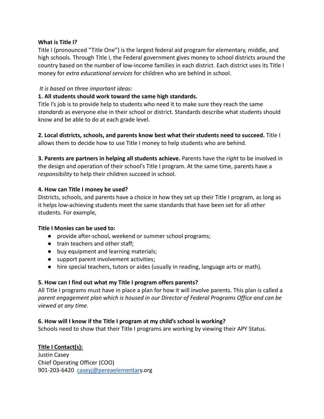#### **What is Title I?**

Title I (pronounced "Title One") is the largest federal aid program for elementary, middle, and high schools. Through Title I, the Federal government gives money to school districts around the country based on the number of low-income families in each district. Each district uses its Title I money for *extra educational services* for children who are behind in school.

#### *It is based on three important ideas:*

#### **1. All students should work toward the same high standards.**

Title I's job is to provide help to students who need it to make sure they reach the same *standards* as everyone else in their school or district. Standards describe what students should know and be able to do at each grade level.

**2. Local districts, schools, and parents know best what their students need to succeed.** Title I allows them to decide how to use Title I money to help students who are behind.

**3. Parents are partners in helping all students achieve.** Parents have the *right* to be involved in the design and operation of their school's Title I program. At the same time, parents have a *responsibility* to help their children succeed in school.

#### **4. How can Title I money be used?**

Districts, schools, and parents have a choice in how they set up their Title I program, as long as it helps low-achieving students meet the same standards that have been set for all other students. For example,

#### **Title I Monies can be used to:**

- provide after-school, weekend or summer school programs;
- train teachers and other staff;
- buy equipment and learning materials;
- support parent involvement activities;
- hire special teachers, tutors or aides (usually in reading, language arts or math).

#### **5. How can I find out what my Title I program offers parents?**

All Title I programs must have in place a plan for how it will involve parents. This plan is called a *parent engagement plan which is housed in our Director of Federal Programs Office and can be viewed at any time.*

#### **6. How will I know if the Title I program at my child's school is working?**

Schools need to show that their Title I programs are working by viewing their APY Status.

#### **Title I Contact(s):**

Justin Casey Chief Operating Officer (COO) 901-203-6420 [caseyj@pereaelementar](mailto:caseyj@pereaelementary.org)y.org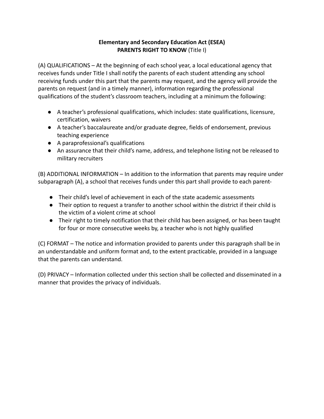#### **Elementary and Secondary Education Act (ESEA) PARENTS RIGHT TO KNOW** (Title I)

(A) QUALIFICATIONS – At the beginning of each school year, a local educational agency that receives funds under Title I shall notify the parents of each student attending any school receiving funds under this part that the parents may request, and the agency will provide the parents on request (and in a timely manner), information regarding the professional qualifications of the student's classroom teachers, including at a minimum the following:

- A teacher's professional qualifications, which includes: state qualifications, licensure, certification, waivers
- A teacher's baccalaureate and/or graduate degree, fields of endorsement, previous teaching experience
- A paraprofessional's qualifications
- An assurance that their child's name, address, and telephone listing not be released to military recruiters

(B) ADDITIONAL INFORMATION – In addition to the information that parents may require under subparagraph (A), a school that receives funds under this part shall provide to each parent-

- Their child's level of achievement in each of the state academic assessments
- Their option to request a transfer to another school within the district if their child is the victim of a violent crime at school
- Their right to timely notification that their child has been assigned, or has been taught for four or more consecutive weeks by, a teacher who is not highly qualified

(C) FORMAT – The notice and information provided to parents under this paragraph shall be in an understandable and uniform format and, to the extent practicable, provided in a language that the parents can understand.

(D) PRIVACY – Information collected under this section shall be collected and disseminated in a manner that provides the privacy of individuals.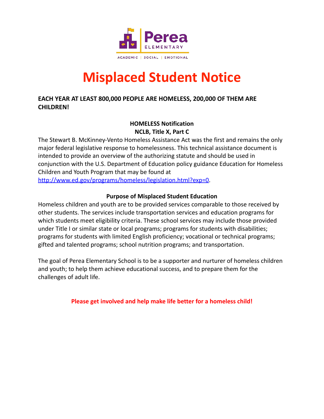

# **Misplaced Student Notice**

#### **EACH YEAR AT LEAST 800,000 PEOPLE ARE HOMELESS, 200,000 OF THEM ARE CHILDREN!**

#### **HOMELESS Notification NCLB, Title X, Part C**

The Stewart B. McKinney-Vento Homeless Assistance Act was the first and remains the only major federal legislative response to homelessness. This technical assistance document is intended to provide an overview of the authorizing statute and should be used in conjunction with the U.S. Department of Education policy guidance Education for Homeless Children and Youth Program that may be found at

[http://www.ed.gov/programs/homeless/legislation.html?exp=0.](http://www.ed.gov/programs/homeless/legislation.html?exp=0)

#### **Purpose of Misplaced Student Education**

Homeless children and youth are to be provided services comparable to those received by other students. The services include transportation services and education programs for which students meet eligibility criteria. These school services may include those provided under Title I or similar state or local programs; programs for students with disabilities; programs for students with limited English proficiency; vocational or technical programs; gifted and talented programs; school nutrition programs; and transportation.

The goal of Perea Elementary School is to be a supporter and nurturer of homeless children and youth; to help them achieve educational success, and to prepare them for the challenges of adult life.

**Please get involved and help make life better for a homeless child!**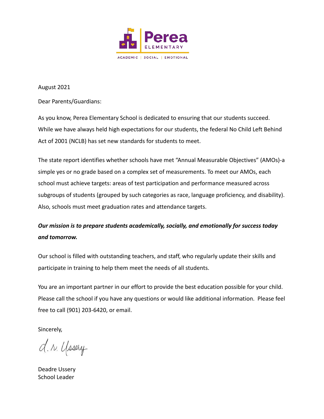

August 2021

Dear Parents/Guardians:

As you know, Perea Elementary School is dedicated to ensuring that our students succeed. While we have always held high expectations for our students, the federal No Child Left Behind Act of 2001 (NCLB) has set new standards for students to meet.

The state report identifies whether schools have met "Annual Measurable Objectives" (AMOs)-a simple yes or no grade based on a complex set of measurements. To meet our AMOs, each school must achieve targets: areas of test participation and performance measured across subgroups of students (grouped by such categories as race, language proficiency, and disability). Also, schools must meet graduation rates and attendance targets.

## *Our mission is to prepare students academically, socially, and emotionally for success today and tomorrow.*

Our school is filled with outstanding teachers, and staff, who regularly update their skills and participate in training to help them meet the needs of all students.

You are an important partner in our effort to provide the best education possible for your child. Please call the school if you have any questions or would like additional information. Please feel free to call (901) 203-6420, or email.

Sincerely,

d. r. yosery

Deadre Ussery School Leader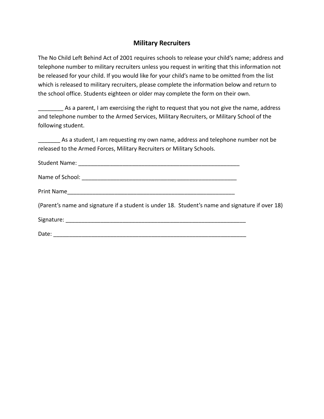#### **Military Recruiters**

The No Child Left Behind Act of 2001 requires schools to release your child's name; address and telephone number to military recruiters unless you request in writing that this information not be released for your child. If you would like for your child's name to be omitted from the list which is released to military recruiters, please complete the information below and return to the school office. Students eighteen or older may complete the form on their own.

As a parent, I am exercising the right to request that you not give the name, address and telephone number to the Armed Services, Military Recruiters, or Military School of the following student.

As a student, I am requesting my own name, address and telephone number not be released to the Armed Forces, Military Recruiters or Military Schools.

| (Parent's name and signature if a student is under 18. Student's name and signature if over 18) |  |
|-------------------------------------------------------------------------------------------------|--|
|                                                                                                 |  |
|                                                                                                 |  |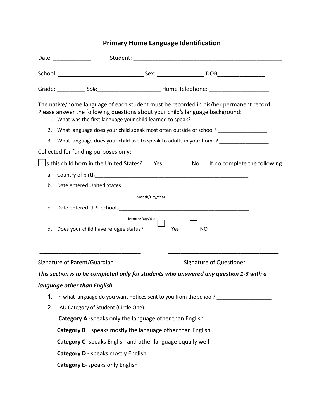# **Primary Home Language Identification**

|    | Date: ______________                                                                                                                                                                                                                                        |                   |                  |                               |  |  |
|----|-------------------------------------------------------------------------------------------------------------------------------------------------------------------------------------------------------------------------------------------------------------|-------------------|------------------|-------------------------------|--|--|
|    |                                                                                                                                                                                                                                                             |                   |                  |                               |  |  |
|    |                                                                                                                                                                                                                                                             |                   |                  |                               |  |  |
|    | The native/home language of each student must be recorded in his/her permanent record.<br>Please answer the following questions about your child's language background:<br>1. What was the first language your child learned to speak?_____________________ |                   |                  |                               |  |  |
|    | 2. What language does your child speak most often outside of school? ____________                                                                                                                                                                           |                   |                  |                               |  |  |
| 3. | What language does your child use to speak to adults in your home? ______________                                                                                                                                                                           |                   |                  |                               |  |  |
|    | Collected for funding purposes only:                                                                                                                                                                                                                        |                   |                  |                               |  |  |
|    | Is this child born in the United States?                                                                                                                                                                                                                    | <b>Parage Yes</b> | No               | If no complete the following: |  |  |
|    |                                                                                                                                                                                                                                                             |                   |                  |                               |  |  |
| b. |                                                                                                                                                                                                                                                             |                   |                  |                               |  |  |
|    |                                                                                                                                                                                                                                                             | Month/Day/Year    |                  |                               |  |  |
| c. |                                                                                                                                                                                                                                                             |                   |                  |                               |  |  |
|    | Month/Day/Year,<br>d. Does your child have refugee status?                                                                                                                                                                                                  |                   | Yes<br><b>NO</b> |                               |  |  |
|    | Signature of Parent/Guardian                                                                                                                                                                                                                                |                   |                  | Signature of Questioner       |  |  |
|    | This section is to be completed only for students who answered any question 1-3 with a                                                                                                                                                                      |                   |                  |                               |  |  |
|    | language other than English                                                                                                                                                                                                                                 |                   |                  |                               |  |  |
|    | 1. In what language do you want notices sent to you from the school?                                                                                                                                                                                        |                   |                  |                               |  |  |
| 2. | LAU Category of Student (Circle One):                                                                                                                                                                                                                       |                   |                  |                               |  |  |
|    | Category A -speaks only the language other than English                                                                                                                                                                                                     |                   |                  |                               |  |  |
|    | Category B speaks mostly the language other than English                                                                                                                                                                                                    |                   |                  |                               |  |  |
|    | Category C- speaks English and other language equally well                                                                                                                                                                                                  |                   |                  |                               |  |  |
|    | <b>Category D - speaks mostly English</b>                                                                                                                                                                                                                   |                   |                  |                               |  |  |
|    | <b>Category E-</b> speaks only English                                                                                                                                                                                                                      |                   |                  |                               |  |  |
|    |                                                                                                                                                                                                                                                             |                   |                  |                               |  |  |